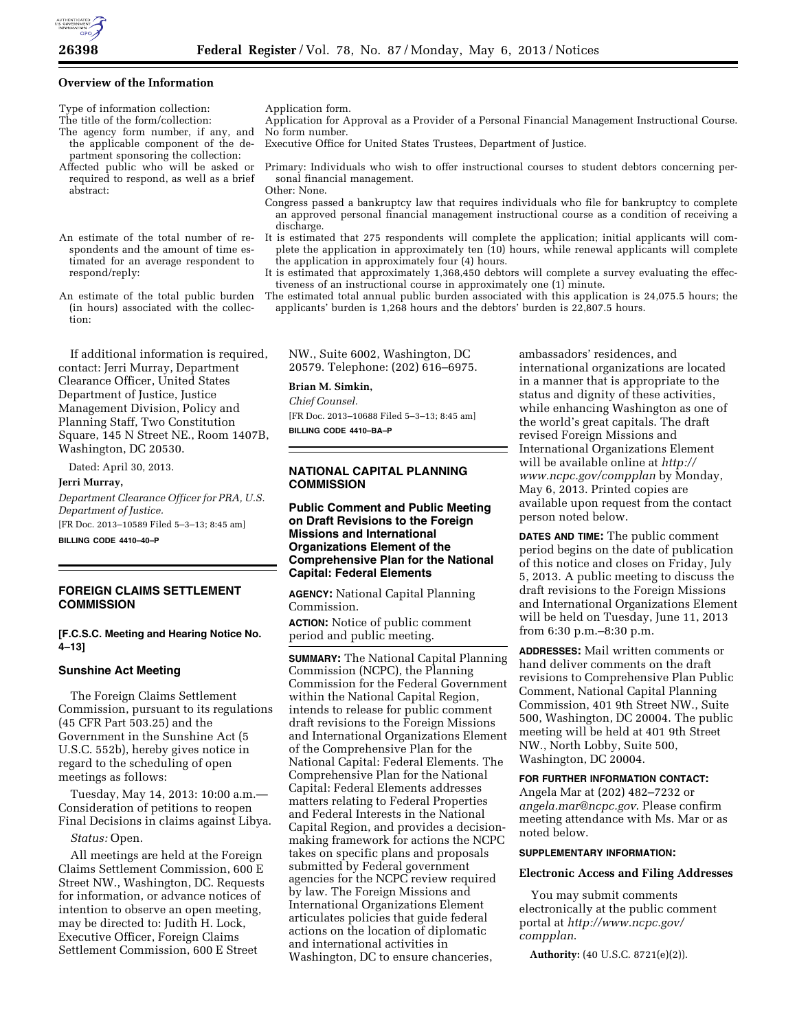

## **Overview of the Information**

Type of information collection: Application form.<br>The title of the form/collection: Application for A

- The agency form number, if any, and the applicable component of the department sponsoring the collection:
- Affected public who will be asked or required to respond, as well as a brief abstract:

An estimate of the total number of respondents and the amount of time estimated for an average respondent to respond/reply:

An estimate of the total public burden (in hours) associated with the collection:

If additional information is required, contact: Jerri Murray, Department Clearance Officer, United States Department of Justice, Justice Management Division, Policy and Planning Staff, Two Constitution Square, 145 N Street NE., Room 1407B, Washington, DC 20530.

Dated: April 30, 2013.

**Jerri Murray,** 

*Department Clearance Officer for PRA, U.S. Department of Justice.*  [FR Doc. 2013–10589 Filed 5–3–13; 8:45 am]

**BILLING CODE 4410–40–P** 

# **FOREIGN CLAIMS SETTLEMENT COMMISSION**

**[F.C.S.C. Meeting and Hearing Notice No. 4–13]** 

### **Sunshine Act Meeting**

The Foreign Claims Settlement Commission, pursuant to its regulations (45 CFR Part 503.25) and the Government in the Sunshine Act (5 U.S.C. 552b), hereby gives notice in regard to the scheduling of open meetings as follows:

Tuesday, May 14, 2013: 10:00 a.m.— Consideration of petitions to reopen Final Decisions in claims against Libya.

### *Status:* Open.

All meetings are held at the Foreign Claims Settlement Commission, 600 E Street NW., Washington, DC. Requests for information, or advance notices of intention to observe an open meeting, may be directed to: Judith H. Lock, Executive Officer, Foreign Claims Settlement Commission, 600 E Street

- Application for Approval as a Provider of a Personal Financial Management Instructional Course. No form number.
- Executive Office for United States Trustees, Department of Justice.
	- Primary: Individuals who wish to offer instructional courses to student debtors concerning personal financial management.

Other: None.

- Congress passed a bankruptcy law that requires individuals who file for bankruptcy to complete an approved personal financial management instructional course as a condition of receiving a discharge.
- It is estimated that 275 respondents will complete the application; initial applicants will complete the application in approximately ten (10) hours, while renewal applicants will complete the application in approximately four (4) hours.
- It is estimated that approximately 1,368,450 debtors will complete a survey evaluating the effectiveness of an instructional course in approximately one (1) minute.
- The estimated total annual public burden associated with this application is 24,075.5 hours; the applicants' burden is 1,268 hours and the debtors' burden is 22,807.5 hours.

NW., Suite 6002, Washington, DC 20579. Telephone: (202) 616–6975.

# **Brian M. Simkin,**

*Chief Counsel.* 

[FR Doc. 2013–10688 Filed 5–3–13; 8:45 am] **BILLING CODE 4410–BA–P** 

# **NATIONAL CAPITAL PLANNING COMMISSION**

**Public Comment and Public Meeting on Draft Revisions to the Foreign Missions and International Organizations Element of the Comprehensive Plan for the National Capital: Federal Elements** 

**AGENCY:** National Capital Planning Commission.

**ACTION:** Notice of public comment period and public meeting.

**SUMMARY:** The National Capital Planning Commission (NCPC), the Planning Commission for the Federal Government within the National Capital Region, intends to release for public comment draft revisions to the Foreign Missions and International Organizations Element of the Comprehensive Plan for the National Capital: Federal Elements. The Comprehensive Plan for the National Capital: Federal Elements addresses matters relating to Federal Properties and Federal Interests in the National Capital Region, and provides a decisionmaking framework for actions the NCPC takes on specific plans and proposals submitted by Federal government agencies for the NCPC review required by law. The Foreign Missions and International Organizations Element articulates policies that guide federal actions on the location of diplomatic and international activities in Washington, DC to ensure chanceries,

ambassadors' residences, and international organizations are located in a manner that is appropriate to the status and dignity of these activities, while enhancing Washington as one of the world's great capitals. The draft revised Foreign Missions and International Organizations Element will be available online at *[http://](http://www.ncpc.gov/compplan)  [www.ncpc.gov/compplan](http://www.ncpc.gov/compplan)* by Monday, May 6, 2013. Printed copies are available upon request from the contact person noted below.

**DATES AND TIME:** The public comment period begins on the date of publication of this notice and closes on Friday, July 5, 2013. A public meeting to discuss the draft revisions to the Foreign Missions and International Organizations Element will be held on Tuesday, June 11, 2013 from 6:30 p.m.–8:30 p.m.

**ADDRESSES:** Mail written comments or hand deliver comments on the draft revisions to Comprehensive Plan Public Comment, National Capital Planning Commission, 401 9th Street NW., Suite 500, Washington, DC 20004. The public meeting will be held at 401 9th Street NW., North Lobby, Suite 500, Washington, DC 20004.

### **FOR FURTHER INFORMATION CONTACT:**

Angela Mar at (202) 482–7232 or *[angela.mar@ncpc.gov](mailto:angela.mar@ncpc.gov)*. Please confirm meeting attendance with Ms. Mar or as noted below.

## **SUPPLEMENTARY INFORMATION:**

### **Electronic Access and Filing Addresses**

You may submit comments electronically at the public comment portal at *[http://www.ncpc.gov/](http://www.ncpc.gov/compplan)  [compplan](http://www.ncpc.gov/compplan)*.

**Authority:** (40 U.S.C. 8721(e)(2)).